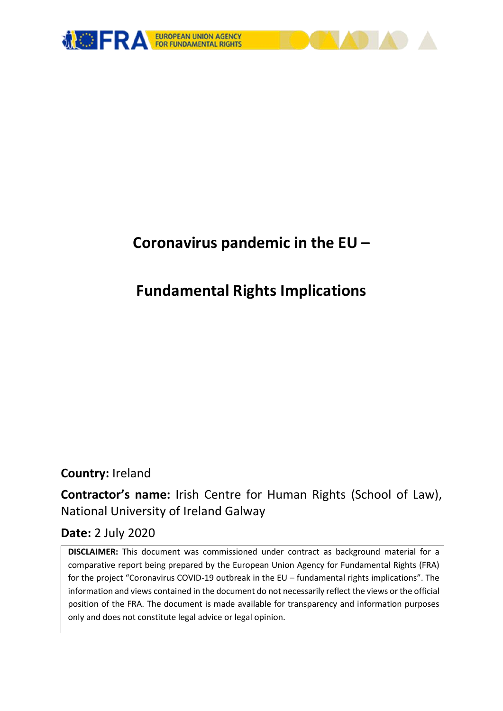

# **Coronavirus pandemic in the EU –**

# **Fundamental Rights Implications**

# **Country:** Ireland

**Contractor's name:** Irish Centre for Human Rights (School of Law), National University of Ireland Galway

# **Date:** 2 July 2020

**DISCLAIMER:** This document was commissioned under contract as background material for a comparative report being prepared by the European Union Agency for Fundamental Rights (FRA) for the project "Coronavirus COVID-19 outbreak in the EU – fundamental rights implications". The information and views contained in the document do not necessarily reflect the views or the official position of the FRA. The document is made available for transparency and information purposes only and does not constitute legal advice or legal opinion.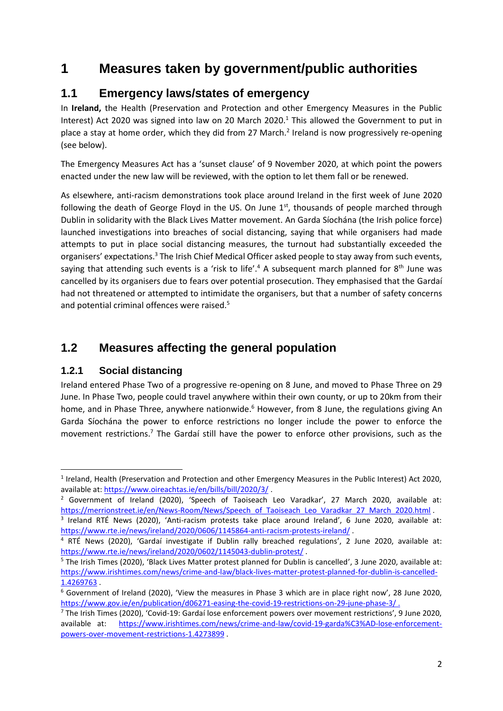# **1 Measures taken by government/public authorities**

## **1.1 Emergency laws/states of emergency**

In **Ireland,** the Health (Preservation and Protection and other Emergency Measures in the Public Interest) Act 2020 was signed into law on 20 March 2020.<sup>1</sup> This allowed the Government to put in place a stay at home order, which they did from 27 March.<sup>2</sup> Ireland is now progressively re-opening (see below).

The Emergency Measures Act has a 'sunset clause' of 9 November 2020, at which point the powers enacted under the new law will be reviewed, with the option to let them fall or be renewed.

As elsewhere, anti-racism demonstrations took place around Ireland in the first week of June 2020 following the death of George Floyd in the US. On June 1st, thousands of people marched through Dublin in solidarity with the Black Lives Matter movement. An Garda Síochána (the Irish police force) launched investigations into breaches of social distancing, saying that while organisers had made attempts to put in place social distancing measures, the turnout had substantially exceeded the organisers' expectations.<sup>3</sup> The Irish Chief Medical Officer asked people to stay away from such events, saying that attending such events is a 'risk to life'.<sup>4</sup> A subsequent march planned for  $8<sup>th</sup>$  June was cancelled by its organisers due to fears over potential prosecution. They emphasised that the Gardaí had not threatened or attempted to intimidate the organisers, but that a number of safety concerns and potential criminal offences were raised.<sup>5</sup>

## **1.2 Measures affecting the general population**

#### **1.2.1 Social distancing**

**.** 

Ireland entered Phase Two of a progressive re-opening on 8 June, and moved to Phase Three on 29 June. In Phase Two, people could travel anywhere within their own county, or up to 20km from their home, and in Phase Three, anywhere nationwide.<sup>6</sup> However, from 8 June, the regulations giving An Garda Síochána the power to enforce restrictions no longer include the power to enforce the movement restrictions.<sup>7</sup> The Gardaí still have the power to enforce other provisions, such as the

<sup>&</sup>lt;sup>1</sup> Ireland, Health (Preservation and Protection and other Emergency Measures in the Public Interest) Act 2020, available at[: https://www.oireachtas.ie/en/bills/bill/2020/3/](https://www.oireachtas.ie/en/bills/bill/2020/3/).

<sup>&</sup>lt;sup>2</sup> Government of Ireland (2020), 'Speech of Taoiseach Leo Varadkar', 27 March 2020, available at: [https://merrionstreet.ie/en/News-Room/News/Speech\\_of\\_Taoiseach\\_Leo\\_Varadkar\\_27\\_March\\_2020.html](https://merrionstreet.ie/en/News-Room/News/Speech_of_Taoiseach_Leo_Varadkar_27_March_2020.html) .

<sup>3</sup> Ireland RTÉ News (2020), 'Anti-racism protests take place around Ireland', 6 June 2020, available at: <https://www.rte.ie/news/ireland/2020/0606/1145864-anti-racism-protests-ireland/> .

<sup>4</sup> RTÉ News (2020), 'Gardaí investigate if Dublin rally breached regulations', 2 June 2020, available at: <https://www.rte.ie/news/ireland/2020/0602/1145043-dublin-protest/> .

<sup>5</sup> The Irish Times (2020), 'Black Lives Matter protest planned for Dublin is cancelled', 3 June 2020, available at: [https://www.irishtimes.com/news/crime-and-law/black-lives-matter-protest-planned-for-dublin-is-cancelled-](https://www.irishtimes.com/news/crime-and-law/black-lives-matter-protest-planned-for-dublin-is-cancelled-1.4269763)[1.4269763](https://www.irishtimes.com/news/crime-and-law/black-lives-matter-protest-planned-for-dublin-is-cancelled-1.4269763) .

<sup>6</sup> Government of Ireland (2020), 'View the measures in Phase 3 which are in place right now', 28 June 2020, <https://www.gov.ie/en/publication/d06271-easing-the-covid-19-restrictions-on-29-june-phase-3/>.

<sup>7</sup> The Irish Times (2020), 'Covid-19: Gardaí lose enforcement powers over movement restrictions', 9 June 2020, available at: [https://www.irishtimes.com/news/crime-and-law/covid-19-garda%C3%AD-lose-enforcement](https://www.irishtimes.com/news/crime-and-law/covid-19-garda%C3%AD-lose-enforcement-powers-over-movement-restrictions-1.4273899)[powers-over-movement-restrictions-1.4273899](https://www.irishtimes.com/news/crime-and-law/covid-19-garda%C3%AD-lose-enforcement-powers-over-movement-restrictions-1.4273899) .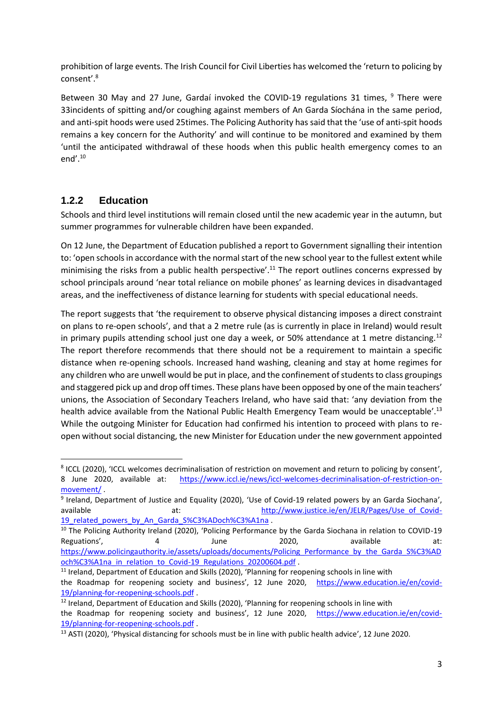prohibition of large events. The Irish Council for Civil Liberties has welcomed the 'return to policing by consent'. 8

Between 30 May and 27 June, Gardaí invoked the COVID-19 regulations 31 times.  $9$  There were 33incidents of spitting and/or coughing against members of An Garda Síochána in the same period, and anti-spit hoods were used 25times. The Policing Authority has said that the 'use of anti-spit hoods remains a key concern for the Authority' and will continue to be monitored and examined by them 'until the anticipated withdrawal of these hoods when this public health emergency comes to an end'. 10

#### **1.2.2 Education**

1

Schools and third level institutions will remain closed until the new academic year in the autumn, but summer programmes for vulnerable children have been expanded.

On 12 June, the Department of Education published a report to Government signalling their intention to: 'open schools in accordance with the normal start of the new school year to the fullest extent while minimising the risks from a public health perspective'.<sup>11</sup> The report outlines concerns expressed by school principals around 'near total reliance on mobile phones' as learning devices in disadvantaged areas, and the ineffectiveness of distance learning for students with special educational needs.

The report suggests that 'the requirement to observe physical distancing imposes a direct constraint on plans to re-open schools', and that a 2 metre rule (as is currently in place in Ireland) would result in primary pupils attending school just one day a week, or 50% attendance at 1 metre distancing.<sup>12</sup> The report therefore recommends that there should not be a requirement to maintain a specific distance when re-opening schools. Increased hand washing, cleaning and stay at home regimes for any children who are unwell would be put in place, and the confinement of students to class groupings and staggered pick up and drop off times. These plans have been opposed by one of the main teachers' unions, the Association of Secondary Teachers Ireland, who have said that: 'any deviation from the health advice available from the National Public Health Emergency Team would be unacceptable'.<sup>13</sup> While the outgoing Minister for Education had confirmed his intention to proceed with plans to reopen without social distancing, the new Minister for Education under the new government appointed

<sup>&</sup>lt;sup>8</sup> ICCL (2020), 'ICCL welcomes decriminalisation of restriction on movement and return to policing by consent', 8 June 2020, available at: [https://www.iccl.ie/news/iccl-welcomes-decriminalisation-of-restriction-on](https://www.iccl.ie/news/iccl-welcomes-decriminalisation-of-restriction-on-movement/)[movement/](https://www.iccl.ie/news/iccl-welcomes-decriminalisation-of-restriction-on-movement/) .

<sup>&</sup>lt;sup>9</sup> Ireland, Department of Justice and Equality (2020), 'Use of Covid-19 related powers by an Garda Siochana', available at: [http://www.justice.ie/en/JELR/Pages/Use\\_of\\_Covid-](http://www.justice.ie/en/JELR/Pages/Use_of_Covid-19_related_powers_by_An_Garda_S%C3%ADoch%C3%A1na)19 related powers by An Garda S%C3%ADoch%C3%A1na .

<sup>&</sup>lt;sup>10</sup> The Policing Authority Ireland (2020), 'Policing Performance by the Garda Siochana in relation to COVID-19 Reguations', and the state of the control of the control of the definition of the definition of the definition of the definition of the definition of the definition of the definition of the definition of the definition of [https://www.policingauthority.ie/assets/uploads/documents/Policing\\_Performance\\_by\\_the\\_Garda\\_S%C3%AD](https://www.policingauthority.ie/assets/uploads/documents/Policing_Performance_by_the_Garda_S%C3%ADoch%C3%A1na_in_relation_to_Covid-19_Regulations_20200604.pdf) [och%C3%A1na\\_in\\_relation\\_to\\_Covid-19\\_Regulations\\_20200604.pdf](https://www.policingauthority.ie/assets/uploads/documents/Policing_Performance_by_the_Garda_S%C3%ADoch%C3%A1na_in_relation_to_Covid-19_Regulations_20200604.pdf) .

<sup>&</sup>lt;sup>11</sup> Ireland, Department of Education and Skills (2020), 'Planning for reopening schools in line with the Roadmap for reopening society and business', 12 June 2020, [https://www.education.ie/en/covid-](https://www.education.ie/en/covid-19/planning-for-reopening-schools.pdf)

[<sup>19/</sup>planning-for-reopening-schools.pdf](https://www.education.ie/en/covid-19/planning-for-reopening-schools.pdf) .

 $12$  Ireland, Department of Education and Skills (2020), 'Planning for reopening schools in line with the Roadmap for reopening society and business', 12 June 2020, [https://www.education.ie/en/covid-](https://www.education.ie/en/covid-19/planning-for-reopening-schools.pdf)[19/planning-for-reopening-schools.pdf](https://www.education.ie/en/covid-19/planning-for-reopening-schools.pdf) .

<sup>13</sup> ASTI (2020), 'Physical distancing for schools must be in line with public health advice', 12 June 2020.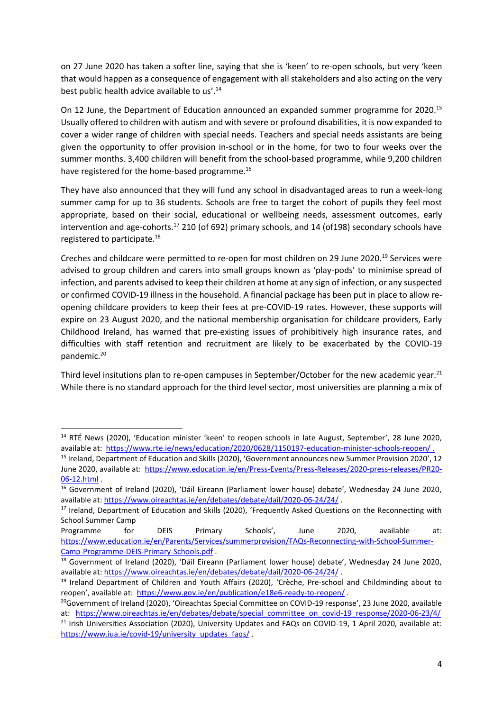on 27 June 2020 has taken a softer line, saying that she is 'keen' to re-open schools, but very 'keen that would happen as a consequence of engagement with all stakeholders and also acting on the very best public health advice available to us'.<sup>14</sup>

On 12 June, the Department of Education announced an expanded summer programme for 2020.<sup>15</sup> Usually offered to children with autism and with severe or profound disabilities, it is now expanded to cover a wider range of children with special needs. Teachers and special needs assistants are being given the opportunity to offer provision in-school or in the home, for two to four weeks over the summer months. 3,400 children will benefit from the school-based programme, while 9,200 children have registered for the home-based programme.<sup>16</sup>

They have also announced that they will fund any school in disadvantaged areas to run a week-long summer camp for up to 36 students. Schools are free to target the cohort of pupils they feel most appropriate, based on their social, educational or wellbeing needs, assessment outcomes, early intervention and age-cohorts. <sup>17</sup> 210 (of 692) primary schools, and 14 (of198) secondary schools have registered to participate.<sup>18</sup>

Creches and childcare were permitted to re-open for most children on 29 June 2020.<sup>19</sup> Services were advised to group children and carers into small groups known as 'play-pods' to minimise spread of infection, and parents advised to keep their children at home at any sign of infection, or any suspected or confirmed COVID-19 illness in the household. A financial package has been put in place to allow reopening childcare providers to keep their fees at pre-COVID-19 rates. However, these supports will expire on 23 August 2020, and the national membership organisation for childcare providers, Early Childhood Ireland, has warned that pre-existing issues of prohibitively high insurance rates, and difficulties with staff retention and recruitment are likely to be exacerbated by the COVID-19 pandemic.<sup>20</sup>

Third level insitutions plan to re-open campuses in September/October for the new academic year.<sup>21</sup> While there is no standard approach for the third level sector, most universities are planning a mix of

1

[https://www.iua.ie/covid-19/university\\_updates\\_faqs/](https://www.iua.ie/covid-19/university_updates_faqs/)

<sup>&</sup>lt;sup>14</sup> RTÉ News (2020), 'Education minister 'keen' to reopen schools in late August, September', 28 June 2020, available at:<https://www.rte.ie/news/education/2020/0628/1150197-education-minister-schools-reopen/> .

<sup>&</sup>lt;sup>15</sup> Ireland, Department of Education and Skills (2020), 'Government announces new Summer Provision 2020', 12 June 2020, available at: [https://www.education.ie/en/Press-Events/Press-Releases/2020-press-releases/PR20-](https://www.education.ie/en/Press-Events/Press-Releases/2020-press-releases/PR20-06-12.html) [06-12.html](https://www.education.ie/en/Press-Events/Press-Releases/2020-press-releases/PR20-06-12.html) .

<sup>16</sup> Government of Ireland (2020), 'Dáil Eireann (Parliament lower house) debate', Wednesday 24 June 2020, available at:<https://www.oireachtas.ie/en/debates/debate/dail/2020-06-24/24/> .

<sup>&</sup>lt;sup>17</sup> Ireland, Department of Education and Skills (2020), 'Frequently Asked Questions on the Reconnecting with School Summer Camp

Programme for DEIS Primary Schools', June 2020, available at: [https://www.education.ie/en/Parents/Services/summerprovision/FAQs-Reconnecting-with-School-Summer-](https://www.education.ie/en/Parents/Services/summerprovision/FAQs-Reconnecting-with-School-Summer-Camp-Programme-DEIS-Primary-Schools.pdf)[Camp-Programme-DEIS-Primary-Schools.pdf](https://www.education.ie/en/Parents/Services/summerprovision/FAQs-Reconnecting-with-School-Summer-Camp-Programme-DEIS-Primary-Schools.pdf) .

<sup>&</sup>lt;sup>18</sup> Government of Ireland (2020), 'Dáil Eireann (Parliament lower house) debate', Wednesday 24 June 2020, available at:<https://www.oireachtas.ie/en/debates/debate/dail/2020-06-24/24/> .

<sup>&</sup>lt;sup>19</sup> Ireland Department of Children and Youth Affairs (2020), 'Crèche, Pre-school and Childminding about to reopen', available at: <https://www.gov.ie/en/publication/e18e6-ready-to-reopen/> .

<sup>&</sup>lt;sup>20</sup>Government of Ireland (2020), 'Oireachtas Special Committee on COVID-19 response', 23 June 2020, available at: [https://www.oireachtas.ie/en/debates/debate/special\\_committee\\_on\\_covid-19\\_response/2020-06-23/4/](https://www.oireachtas.ie/en/debates/debate/special_committee_on_covid-19_response/2020-06-23/4/)  $21$  Irish Universities Association (2020), University Updates and FAQs on COVID-19, 1 April 2020, available at: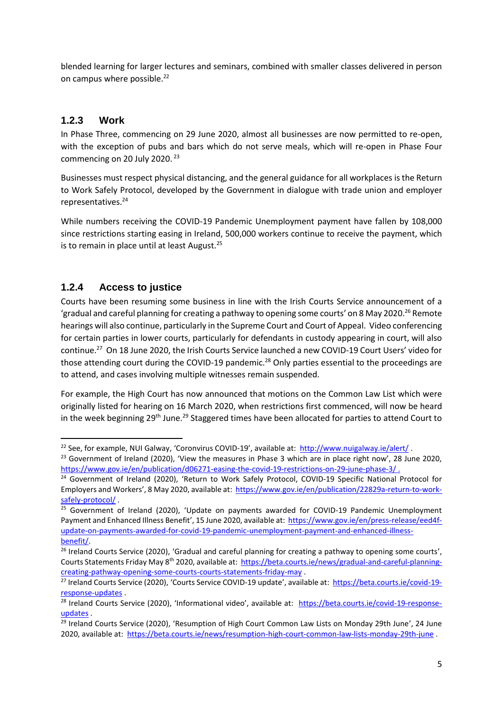blended learning for larger lectures and seminars, combined with smaller classes delivered in person on campus where possible.<sup>22</sup>

#### **1.2.3 Work**

In Phase Three, commencing on 29 June 2020, almost all businesses are now permitted to re-open, with the exception of pubs and bars which do not serve meals, which will re-open in Phase Four commencing on 20 July 2020. <sup>23</sup>

Businesses must respect physical distancing, and the general guidance for all workplaces is the Return to Work Safely Protocol, developed by the Government in dialogue with trade union and employer representatives. 24

While numbers receiving the COVID-19 Pandemic Unemployment payment have fallen by 108,000 since restrictions starting easing in Ireland, 500,000 workers continue to receive the payment, which is to remain in place until at least August.<sup>25</sup>

#### **1.2.4 Access to justice**

**.** 

Courts have been resuming some business in line with the Irish Courts Service announcement of a 'gradual and careful planning for creating a pathway to opening some courts' on 8 May 2020.<sup>26</sup> Remote hearings will also continue, particularly in the Supreme Court and Court of Appeal. Video conferencing for certain parties in lower courts, particularly for defendants in custody appearing in court, will also continue.<sup>27</sup> On 18 June 2020, the Irish Courts Service launched a new COVID-19 Court Users' video for those attending court during the COVID-19 pandemic.<sup>28</sup> Only parties essential to the proceedings are to attend, and cases involving multiple witnesses remain suspended.

For example, the High Court has now announced that motions on the Common Law List which were originally listed for hearing on 16 March 2020, when restrictions first commenced, will now be heard in the week beginning 29<sup>th</sup> June.<sup>29</sup> Staggered times have been allocated for parties to attend Court to

<sup>&</sup>lt;sup>22</sup> See, for example, NUI Galway, 'Coronvirus COVID-19', available at: <http://www.nuigalway.ie/alert/>

<sup>&</sup>lt;sup>23</sup> Government of Ireland (2020), 'View the measures in Phase 3 which are in place right now', 28 June 2020, <https://www.gov.ie/en/publication/d06271-easing-the-covid-19-restrictions-on-29-june-phase-3/> .

<sup>&</sup>lt;sup>24</sup> Government of Ireland (2020), 'Return to Work Safely Protocol, COVID-19 Specific National Protocol for Employers and Workers', 8 May 2020, available at: [https://www.gov.ie/en/publication/22829a-return-to-work](https://www.gov.ie/en/publication/22829a-return-to-work-safely-protocol/)[safely-protocol/](https://www.gov.ie/en/publication/22829a-return-to-work-safely-protocol/) .

 $25$  Government of Ireland (2020), 'Update on payments awarded for COVID-19 Pandemic Unemployment Payment and Enhanced Illness Benefit', 15 June 2020, available at: [https://www.gov.ie/en/press-release/eed4f](https://www.gov.ie/en/press-release/eed4f-update-on-payments-awarded-for-covid-19-pandemic-unemployment-payment-and-enhanced-illness-benefit/)[update-on-payments-awarded-for-covid-19-pandemic-unemployment-payment-and-enhanced-illness](https://www.gov.ie/en/press-release/eed4f-update-on-payments-awarded-for-covid-19-pandemic-unemployment-payment-and-enhanced-illness-benefit/)[benefit/.](https://www.gov.ie/en/press-release/eed4f-update-on-payments-awarded-for-covid-19-pandemic-unemployment-payment-and-enhanced-illness-benefit/)

 $26$  Ireland Courts Service (2020), 'Gradual and careful planning for creating a pathway to opening some courts', Courts Statements Friday May 8th 2020, available at: [https://beta.courts.ie/news/gradual-and-careful-planning](https://beta.courts.ie/news/gradual-and-careful-planning-creating-pathway-opening-some-courts-courts-statements-friday-may)[creating-pathway-opening-some-courts-courts-statements-friday-may](https://beta.courts.ie/news/gradual-and-careful-planning-creating-pathway-opening-some-courts-courts-statements-friday-may) .

<sup>&</sup>lt;sup>27</sup> Ireland Courts Service (2020), 'Courts Service COVID-19 update', available at: [https://beta.courts.ie/covid-19](https://beta.courts.ie/covid-19-response-updates) [response-updates](https://beta.courts.ie/covid-19-response-updates) .

<sup>&</sup>lt;sup>28</sup> Ireland Courts Service (2020), 'Informational video', available at: [https://beta.courts.ie/covid-19-response](https://beta.courts.ie/covid-19-response-updates)[updates](https://beta.courts.ie/covid-19-response-updates) .

 $29$  Ireland Courts Service (2020), 'Resumption of High Court Common Law Lists on Monday 29th June', 24 June 2020, available at:<https://beta.courts.ie/news/resumption-high-court-common-law-lists-monday-29th-june> .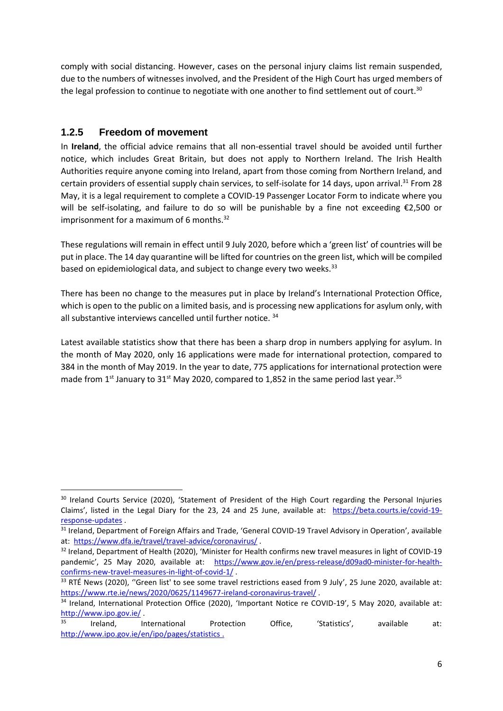comply with social distancing. However, cases on the personal injury claims list remain suspended, due to the numbers of witnesses involved, and the President of the High Court has urged members of the legal profession to continue to negotiate with one another to find settlement out of court.<sup>30</sup>

#### **1.2.5 Freedom of movement**

**.** 

In **Ireland**, the official advice remains that all non-essential travel should be avoided until further notice, which includes Great Britain, but does not apply to Northern Ireland. The Irish Health Authorities require anyone coming into Ireland, apart from those coming from Northern Ireland, and certain providers of essential supply chain services, to self-isolate for 14 days, upon arrival.<sup>31</sup> From 28 May, it is a legal requirement to complete a COVID-19 Passenger Locator Form to indicate where you will be self-isolating, and failure to do so will be punishable by a fine not exceeding €2,500 or imprisonment for a maximum of 6 months. $32$ 

These regulations will remain in effect until 9 July 2020, before which a 'green list' of countries will be put in place. The 14 day quarantine will be lifted for countries on the green list, which will be compiled based on epidemiological data, and subject to change every two weeks.<sup>33</sup>

There has been no change to the measures put in place by Ireland's International Protection Office, which is open to the public on a limited basis, and is processing new applications for asylum only, with all substantive interviews cancelled until further notice.<sup>34</sup>

Latest available statistics show that there has been a sharp drop in numbers applying for asylum. In the month of May 2020, only 16 applications were made for international protection, compared to 384 in the month of May 2019. In the year to date, 775 applications for international protection were made from  $1^{st}$  January to  $31^{st}$  May 2020, compared to 1,852 in the same period last year.<sup>35</sup>

<sup>&</sup>lt;sup>30</sup> Ireland Courts Service (2020), 'Statement of President of the High Court regarding the Personal Injuries Claims', listed in the Legal Diary for the 23, 24 and 25 June, available at: [https://beta.courts.ie/covid-19](https://beta.courts.ie/covid-19-response-updates) [response-updates](https://beta.courts.ie/covid-19-response-updates) .

<sup>&</sup>lt;sup>31</sup> Ireland, Department of Foreign Affairs and Trade, 'General COVID-19 Travel Advisory in Operation', available at:<https://www.dfa.ie/travel/travel-advice/coronavirus/>.

<sup>&</sup>lt;sup>32</sup> Ireland, Department of Health (2020), 'Minister for Health confirms new travel measures in light of COVID-19 pandemic', 25 May 2020, available at: [https://www.gov.ie/en/press-release/d09ad0-minister-for-health](https://www.gov.ie/en/press-release/d09ad0-minister-for-health-confirms-new-travel-measures-in-light-of-covid-1/)[confirms-new-travel-measures-in-light-of-covid-1/](https://www.gov.ie/en/press-release/d09ad0-minister-for-health-confirms-new-travel-measures-in-light-of-covid-1/) .

<sup>33</sup> RTÉ News (2020), "Green list' to see some travel restrictions eased from 9 July', 25 June 2020, available at: <https://www.rte.ie/news/2020/0625/1149677-ireland-coronavirus-travel/>.

<sup>&</sup>lt;sup>34</sup> Ireland, International Protection Office (2020), 'Important Notice re COVID-19', 5 May 2020, available at: <http://www.ipo.gov.ie/><br>35 steeling

<sup>35</sup> Ireland, International Protection Office, 'Statistics', available at: <http://www.ipo.gov.ie/en/ipo/pages/statistics> .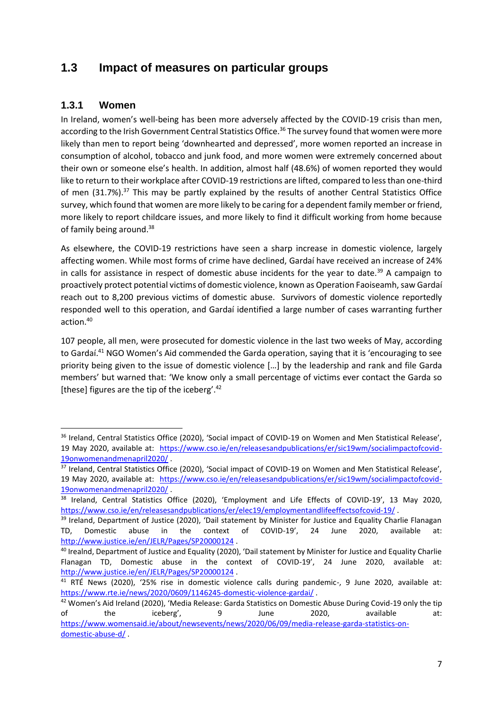## **1.3 Impact of measures on particular groups**

#### **1.3.1 Women**

1

In Ireland, women's well-being has been more adversely affected by the COVID-19 crisis than men, according to the Irish Government Central Statistics Office.<sup>36</sup> The survey found that women were more likely than men to report being 'downhearted and depressed', more women reported an increase in consumption of alcohol, tobacco and junk food, and more women were extremely concerned about their own or someone else's health. In addition, almost half (48.6%) of women reported they would like to return to their workplace after COVID-19 restrictions are lifted, compared to less than one-third of men (31.7%).<sup>37</sup> This may be partly explained by the results of another Central Statistics Office survey, which found that women are more likely to be caring for a dependent family member or friend, more likely to report childcare issues, and more likely to find it difficult working from home because of family being around.<sup>38</sup>

As elsewhere, the COVID-19 restrictions have seen a sharp increase in domestic violence, largely affecting women. While most forms of crime have declined, Gardaí have received an increase of 24% in calls for assistance in respect of domestic abuse incidents for the year to date.<sup>39</sup> A campaign to proactively protect potential victims of domestic violence, known as Operation Faoiseamh, saw Gardaí reach out to 8,200 previous victims of domestic abuse. Survivors of domestic violence reportedly responded well to this operation, and Gardaí identified a large number of cases warranting further action.<sup>40</sup>

107 people, all men, were prosecuted for domestic violence in the last two weeks of May, according to Gardaí.<sup>41</sup> NGO Women's Aid commended the Garda operation, saying that it is 'encouraging to see priority being given to the issue of domestic violence […] by the leadership and rank and file Garda members' but warned that: 'We know only a small percentage of victims ever contact the Garda so [these] figures are the tip of the iceberg'.<sup>42</sup>

<sup>&</sup>lt;sup>36</sup> Ireland, Central Statistics Office (2020), 'Social impact of COVID-19 on Women and Men Statistical Release', 19 May 2020, available at: [https://www.cso.ie/en/releasesandpublications/er/sic19wm/socialimpactofcovid-](https://www.cso.ie/en/releasesandpublications/er/sic19wm/socialimpactofcovid-19onwomenandmenapril2020/)[19onwomenandmenapril2020/](https://www.cso.ie/en/releasesandpublications/er/sic19wm/socialimpactofcovid-19onwomenandmenapril2020/) .

<sup>&</sup>lt;sup>37</sup> Ireland, Central Statistics Office (2020), 'Social impact of COVID-19 on Women and Men Statistical Release', 19 May 2020, available at: [https://www.cso.ie/en/releasesandpublications/er/sic19wm/socialimpactofcovid-](https://www.cso.ie/en/releasesandpublications/er/sic19wm/socialimpactofcovid-19onwomenandmenapril2020/)[19onwomenandmenapril2020/](https://www.cso.ie/en/releasesandpublications/er/sic19wm/socialimpactofcovid-19onwomenandmenapril2020/) .

<sup>&</sup>lt;sup>38</sup> Ireland, Central Statistics Office (2020), 'Employment and Life Effects of COVID-19', 13 May 2020, <https://www.cso.ie/en/releasesandpublications/er/elec19/employmentandlifeeffectsofcovid-19/> .

<sup>&</sup>lt;sup>39</sup> Ireland, Department of Justice (2020), 'Dail statement by Minister for Justice and Equality Charlie Flanagan TD, Domestic abuse in the context of COVID-19', 24 June 2020, available at: <http://www.justice.ie/en/JELR/Pages/SP20000124> .

<sup>&</sup>lt;sup>40</sup> Irealnd, Department of Justice and Equality (2020), 'Dail statement by Minister for Justice and Equality Charlie Flanagan TD, Domestic abuse in the context of COVID-19', 24 June 2020, available at: <http://www.justice.ie/en/JELR/Pages/SP20000124> .

<sup>41</sup> RTÉ News (2020), '25% rise in domestic violence calls during pandemic-, 9 June 2020, available at: <https://www.rte.ie/news/2020/0609/1146245-domestic-violence-gardai/>.

<sup>&</sup>lt;sup>42</sup> Women's Aid Ireland (2020), 'Media Release: Garda Statistics on Domestic Abuse During Covid-19 only the tip of the iceberg', 9 June 2020, available at: [https://www.womensaid.ie/about/newsevents/news/2020/06/09/media-release-garda-statistics-on](https://www.womensaid.ie/about/newsevents/news/2020/06/09/media-release-garda-statistics-on-domestic-abuse-d/)[domestic-abuse-d/](https://www.womensaid.ie/about/newsevents/news/2020/06/09/media-release-garda-statistics-on-domestic-abuse-d/) .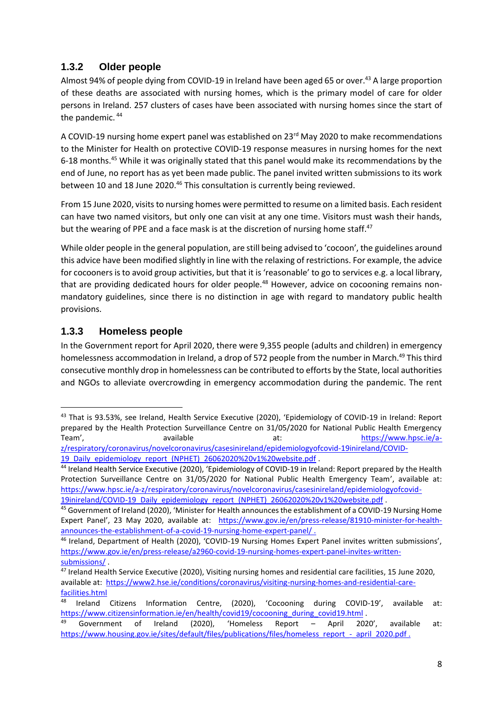#### **1.3.2 Older people**

Almost 94% of people dying from COVID-19 in Ireland have been aged 65 or over.<sup>43</sup> A large proportion of these deaths are associated with nursing homes, which is the primary model of care for older persons in Ireland. 257 clusters of cases have been associated with nursing homes since the start of the pandemic. <sup>44</sup>

A COVID-19 nursing home expert panel was established on 23<sup>rd</sup> May 2020 to make recommendations to the Minister for Health on protective COVID-19 response measures in nursing homes for the next 6-18 months. <sup>45</sup> While it was originally stated that this panel would make its recommendations by the end of June, no report has as yet been made public. The panel invited written submissions to its work between 10 and 18 June 2020.<sup>46</sup> This consultation is currently being reviewed.

From 15 June 2020, visits to nursing homes were permitted to resume on a limited basis. Each resident can have two named visitors, but only one can visit at any one time. Visitors must wash their hands, but the wearing of PPE and a face mask is at the discretion of nursing home staff.<sup>47</sup>

While older people in the general population, are still being advised to 'cocoon', the guidelines around this advice have been modified slightly in line with the relaxing of restrictions. For example, the advice for cocooners is to avoid group activities, but that it is 'reasonable' to go to services e.g. a local library, that are providing dedicated hours for older people.<sup>48</sup> However, advice on cocooning remains nonmandatory guidelines, since there is no distinction in age with regard to mandatory public health provisions.

#### **1.3.3 Homeless people**

1

In the Government report for April 2020, there were 9,355 people (adults and children) in emergency homelessness accommodation in Ireland, a drop of 572 people from the number in March.<sup>49</sup> This third consecutive monthly drop in homelessness can be contributed to efforts by the State, local authorities and NGOs to alleviate overcrowding in emergency accommodation during the pandemic. The rent

<sup>43</sup> That is 93.53%, see Ireland, Health Service Executive (2020), 'Epidemiology of COVID-19 in Ireland: Report prepared by the Health Protection Surveillance Centre on 31/05/2020 for National Public Health Emergency Team', The available at: [https://www.hpsc.ie/a](https://www.hpsc.ie/a-z/respiratory/coronavirus/novelcoronavirus/casesinireland/epidemiologyofcovid-19inireland/COVID-19_Daily_epidemiology_report_(NPHET)_26062020%20v1%20website.pdf)[z/respiratory/coronavirus/novelcoronavirus/casesinireland/epidemiologyofcovid-19inireland/COVID-](https://www.hpsc.ie/a-z/respiratory/coronavirus/novelcoronavirus/casesinireland/epidemiologyofcovid-19inireland/COVID-19_Daily_epidemiology_report_(NPHET)_26062020%20v1%20website.pdf)

<sup>19</sup> Daily epidemiology report (NPHET) 26062020%20v1%20website.pdf .

<sup>44</sup> Ireland Health Service Executive (2020), 'Epidemiology of COVID-19 in Ireland: Report prepared by the Health Protection Surveillance Centre on 31/05/2020 for National Public Health Emergency Team', available at: [https://www.hpsc.ie/a-z/respiratory/coronavirus/novelcoronavirus/casesinireland/epidemiologyofcovid-](https://www.hpsc.ie/a-z/respiratory/coronavirus/novelcoronavirus/casesinireland/epidemiologyofcovid-19inireland/COVID-19_Daily_epidemiology_report_(NPHET)_26062020%20v1%20website.pdf)[19inireland/COVID-19\\_Daily\\_epidemiology\\_report\\_\(NPHET\)\\_26062020%20v1%20website.pdf](https://www.hpsc.ie/a-z/respiratory/coronavirus/novelcoronavirus/casesinireland/epidemiologyofcovid-19inireland/COVID-19_Daily_epidemiology_report_(NPHET)_26062020%20v1%20website.pdf) .

<sup>45</sup> Government of Ireland (2020), 'Minister for Health announces the establishment of a COVID-19 Nursing Home Expert Panel', 23 May 2020, available at: [https://www.gov.ie/en/press-release/81910-minister-for-health](https://www.gov.ie/en/press-release/81910-minister-for-health-announces-the-establishment-of-a-covid-19-nursing-home-expert-panel/)[announces-the-establishment-of-a-covid-19-nursing-home-expert-panel/](https://www.gov.ie/en/press-release/81910-minister-for-health-announces-the-establishment-of-a-covid-19-nursing-home-expert-panel/) .

<sup>46</sup> Ireland, Department of Health (2020), 'COVID-19 Nursing Homes Expert Panel invites written submissions', [https://www.gov.ie/en/press-release/a2960-covid-19-nursing-homes-expert-panel-invites-written](https://www.gov.ie/en/press-release/a2960-covid-19-nursing-homes-expert-panel-invites-written-submissions/)[submissions/](https://www.gov.ie/en/press-release/a2960-covid-19-nursing-homes-expert-panel-invites-written-submissions/) .

<sup>47</sup> Ireland Health Service Executive (2020), Visiting nursing homes and residential care facilities, 15 June 2020, available at: [https://www2.hse.ie/conditions/coronavirus/visiting-nursing-homes-and-residential-care](https://www2.hse.ie/conditions/coronavirus/visiting-nursing-homes-and-residential-care-facilities.html)[facilities.html](https://www2.hse.ie/conditions/coronavirus/visiting-nursing-homes-and-residential-care-facilities.html)

<sup>48</sup> Ireland Citizens Information Centre, (2020), 'Cocooning during COVID-19', available at: [https://www.citizensinformation.ie/en/health/covid19/cocooning\\_during\\_covid19.html](https://www.citizensinformation.ie/en/health/covid19/cocooning_during_covid19.html) .

 $49$  Government of Ireland (2020), 'Homeless Report – April 2020', available at: [https://www.housing.gov.ie/sites/default/files/publications/files/homeless\\_report\\_-\\_april\\_2020.pdf](https://www.housing.gov.ie/sites/default/files/publications/files/homeless_report_-_april_2020.pdf) .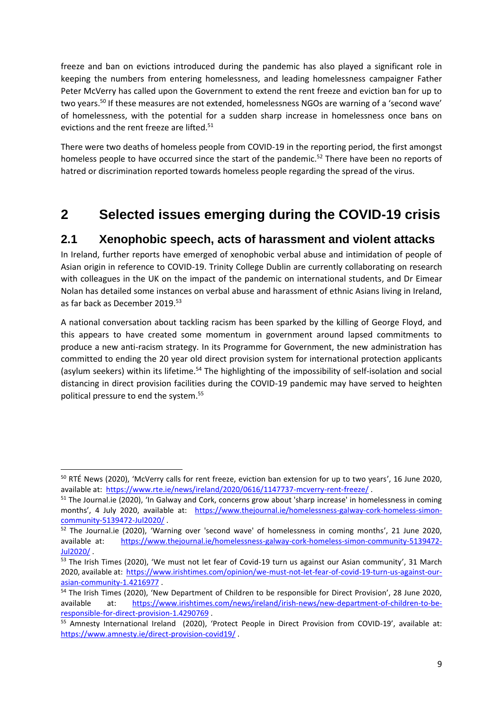freeze and ban on evictions introduced during the pandemic has also played a significant role in keeping the numbers from entering homelessness, and leading homelessness campaigner Father Peter McVerry has called upon the Government to extend the rent freeze and eviction ban for up to two years.<sup>50</sup> If these measures are not extended, homelessness NGOs are warning of a 'second wave' of homelessness, with the potential for a sudden sharp increase in homelessness once bans on evictions and the rent freeze are lifted.<sup>51</sup>

There were two deaths of homeless people from COVID-19 in the reporting period, the first amongst homeless people to have occurred since the start of the pandemic.<sup>52</sup> There have been no reports of hatred or discrimination reported towards homeless people regarding the spread of the virus.

# **2 Selected issues emerging during the COVID-19 crisis**

#### **2.1 Xenophobic speech, acts of harassment and violent attacks**

In Ireland, further reports have emerged of xenophobic verbal abuse and intimidation of people of Asian origin in reference to COVID-19. Trinity College Dublin are currently collaborating on research with colleagues in the UK on the impact of the pandemic on international students, and Dr Eimear Nolan has detailed some instances on verbal abuse and harassment of ethnic Asians living in Ireland, as far back as December 2019.<sup>53</sup>

A national conversation about tackling racism has been sparked by the killing of George Floyd, and this appears to have created some momentum in government around lapsed commitments to produce a new anti-racism strategy. In its Programme for Government, the new administration has committed to ending the 20 year old direct provision system for international protection applicants (asylum seekers) within its lifetime.<sup>54</sup> The highlighting of the impossibility of self-isolation and social distancing in direct provision facilities during the COVID-19 pandemic may have served to heighten political pressure to end the system.<sup>55</sup>

**.** 

<sup>&</sup>lt;sup>50</sup> RTÉ News (2020), 'McVerry calls for rent freeze, eviction ban extension for up to two years', 16 June 2020, available at:<https://www.rte.ie/news/ireland/2020/0616/1147737-mcverry-rent-freeze/>.

<sup>&</sup>lt;sup>51</sup> The Journal.ie (2020), 'In Galway and Cork, concerns grow about 'sharp increase' in homelessness in coming months', 4 July 2020, available at: [https://www.thejournal.ie/homelessness-galway-cork-homeless-simon](https://www.thejournal.ie/homelessness-galway-cork-homeless-simon-community-5139472-Jul2020/)[community-5139472-Jul2020/](https://www.thejournal.ie/homelessness-galway-cork-homeless-simon-community-5139472-Jul2020/) .

<sup>52</sup> The Journal.ie (2020), 'Warning over 'second wave' of homelessness in coming months', 21 June 2020, available at: [https://www.thejournal.ie/homelessness-galway-cork-homeless-simon-community-5139472-](https://www.thejournal.ie/homelessness-galway-cork-homeless-simon-community-5139472-Jul2020/) [Jul2020/](https://www.thejournal.ie/homelessness-galway-cork-homeless-simon-community-5139472-Jul2020/) .

<sup>53</sup> The Irish Times (2020), 'We must not let fear of Covid-19 turn us against our Asian community', 31 March 2020, available at: [https://www.irishtimes.com/opinion/we-must-not-let-fear-of-covid-19-turn-us-against-our](https://www.irishtimes.com/opinion/we-must-not-let-fear-of-covid-19-turn-us-against-our-asian-community-1.4216977)[asian-community-1.4216977](https://www.irishtimes.com/opinion/we-must-not-let-fear-of-covid-19-turn-us-against-our-asian-community-1.4216977) .

<sup>54</sup> The Irish Times (2020), 'New Department of Children to be responsible for Direct Provision', 28 June 2020, available at: [https://www.irishtimes.com/news/ireland/irish-news/new-department-of-children-to-be](https://www.irishtimes.com/news/ireland/irish-news/new-department-of-children-to-be-responsible-for-direct-provision-1.4290769)[responsible-for-direct-provision-1.4290769](https://www.irishtimes.com/news/ireland/irish-news/new-department-of-children-to-be-responsible-for-direct-provision-1.4290769) .

<sup>55</sup> Amnesty International Ireland (2020), 'Protect People in Direct Provision from COVID-19', available at: <https://www.amnesty.ie/direct-provision-covid19/> .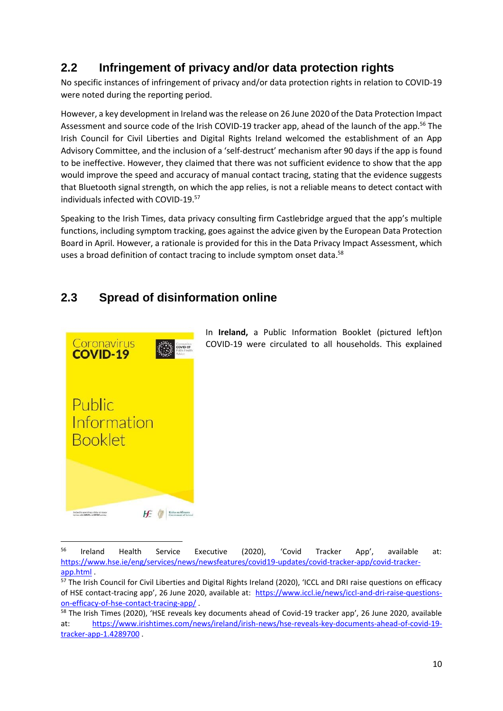# **2.2 Infringement of privacy and/or data protection rights**

No specific instances of infringement of privacy and/or data protection rights in relation to COVID-19 were noted during the reporting period.

However, a key development in Ireland was the release on 26 June 2020 of the Data Protection Impact Assessment and source code of the Irish COVID-19 tracker app, ahead of the launch of the app.<sup>56</sup> The Irish Council for Civil Liberties and Digital Rights Ireland welcomed the establishment of an App Advisory Committee, and the inclusion of a 'self-destruct' mechanism after 90 days if the app is found to be ineffective. However, they claimed that there was not sufficient evidence to show that the app would improve the speed and accuracy of manual contact tracing, stating that the evidence suggests that Bluetooth signal strength, on which the app relies, is not a reliable means to detect contact with individuals infected with COVID-19.<sup>57</sup>

Speaking to the Irish Times, data privacy consulting firm Castlebridge argued that the app's multiple functions, including symptom tracking, goes against the advice given by the European Data Protection Board in April. However, a rationale is provided for this in the Data Privacy Impact Assessment, which uses a broad definition of contact tracing to include symptom onset data.<sup>58</sup>

# **2.3 Spread of disinformation online**



**.** 

In **Ireland,** a Public Information Booklet (pictured left)on COVID-19 were circulated to all households. This explained

<sup>&</sup>lt;sup>56</sup> Ireland Health Service Executive (2020), 'Covid Tracker App', available at: [https://www.hse.ie/eng/services/news/newsfeatures/covid19-updates/covid-tracker-app/covid-tracker](https://www.hse.ie/eng/services/news/newsfeatures/covid19-updates/covid-tracker-app/covid-tracker-app.html)[app.html](https://www.hse.ie/eng/services/news/newsfeatures/covid19-updates/covid-tracker-app/covid-tracker-app.html) .

<sup>57</sup> The Irish Council for Civil Liberties and Digital Rights Ireland (2020), 'ICCL and DRI raise questions on efficacy of HSE contact-tracing app', 26 June 2020, available at: [https://www.iccl.ie/news/iccl-and-dri-raise-questions](https://www.iccl.ie/news/iccl-and-dri-raise-questions-on-efficacy-of-hse-contact-tracing-app/)[on-efficacy-of-hse-contact-tracing-app/](https://www.iccl.ie/news/iccl-and-dri-raise-questions-on-efficacy-of-hse-contact-tracing-app/) .

<sup>58</sup> The Irish Times (2020), 'HSE reveals key documents ahead of Covid-19 tracker app', 26 June 2020, available at: [https://www.irishtimes.com/news/ireland/irish-news/hse-reveals-key-documents-ahead-of-covid-19](https://www.irishtimes.com/news/ireland/irish-news/hse-reveals-key-documents-ahead-of-covid-19-tracker-app-1.4289700) [tracker-app-1.4289700](https://www.irishtimes.com/news/ireland/irish-news/hse-reveals-key-documents-ahead-of-covid-19-tracker-app-1.4289700) .